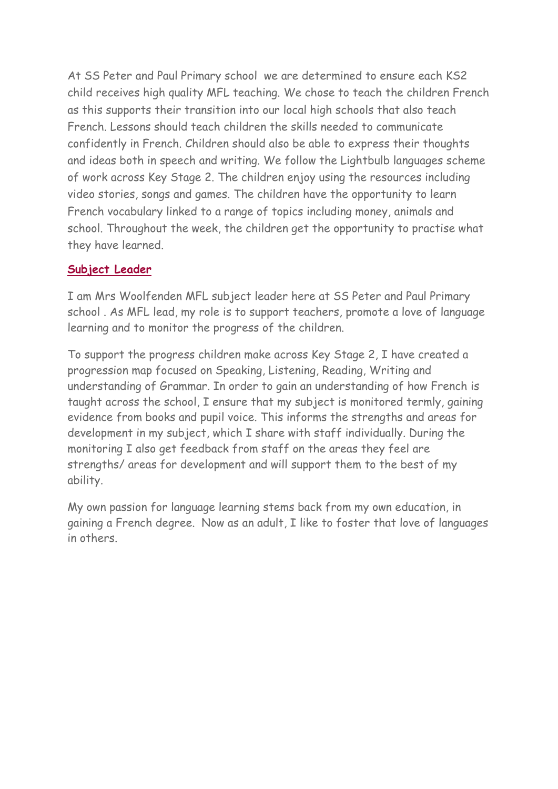At SS Peter and Paul Primary school we are determined to ensure each KS2 child receives high quality MFL teaching. We chose to teach the children French as this supports their transition into our local high schools that also teach French. Lessons should teach children the skills needed to communicate confidently in French. Children should also be able to express their thoughts and ideas both in speech and writing. We follow the Lightbulb languages scheme of work across Key Stage 2. The children enjoy using the resources including video stories, songs and games. The children have the opportunity to learn French vocabulary linked to a range of topics including money, animals and school. Throughout the week, the children get the opportunity to practise what they have learned.

### **Subject Leader**

I am Mrs Woolfenden MFL subject leader here at SS Peter and Paul Primary school . As MFL lead, my role is to support teachers, promote a love of language learning and to monitor the progress of the children.

To support the progress children make across Key Stage 2, I have created a progression map focused on Speaking, Listening, Reading, Writing and understanding of Grammar. In order to gain an understanding of how French is taught across the school, I ensure that my subject is monitored termly, gaining evidence from books and pupil voice. This informs the strengths and areas for development in my subject, which I share with staff individually. During the monitoring I also get feedback from staff on the areas they feel are strengths/ areas for development and will support them to the best of my ability.

My own passion for language learning stems back from my own education, in gaining a French degree. Now as an adult, I like to foster that love of languages in others.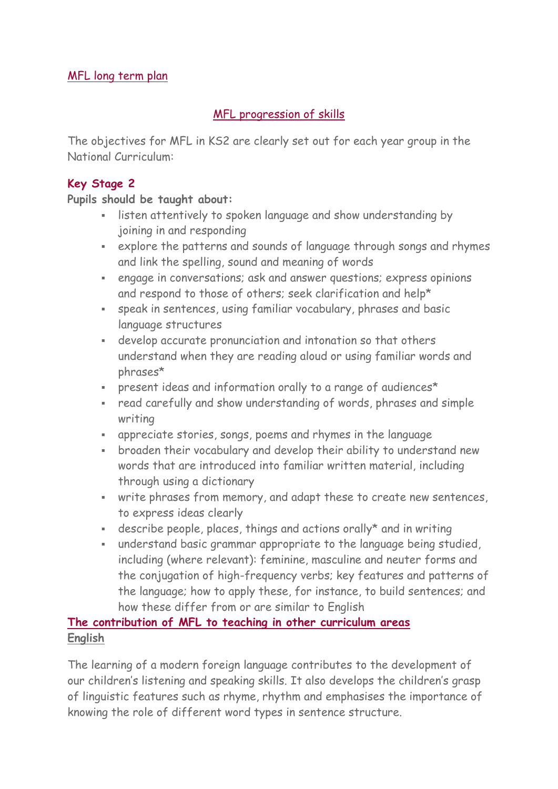# MFL [progression](https://hillsideprimary.org.uk/wp-content/uploads/2018/12/MFL-progression-of-skills.pdf) of skills

The objectives for MFL in KS2 are clearly set out for each year group in the National Curriculum:

## **Key Stage 2**

### **Pupils should be taught about:**

- listen attentively to spoken language and show understanding by joining in and responding
- explore the patterns and sounds of language through songs and rhymes and link the spelling, sound and meaning of words
- engage in conversations; ask and answer questions; express opinions and respond to those of others; seek clarification and help\*
- speak in sentences, using familiar vocabulary, phrases and basic language structures
- develop accurate pronunciation and intonation so that others understand when they are reading aloud or using familiar words and phrases\*
- present ideas and information orally to a range of audiences\*
- read carefully and show understanding of words, phrases and simple writing
- appreciate stories, songs, poems and rhymes in the language
- broaden their vocabulary and develop their ability to understand new words that are introduced into familiar written material, including through using a dictionary
- write phrases from memory, and adapt these to create new sentences, to express ideas clearly
- describe people, places, things and actions orally\* and in writing
- understand basic grammar appropriate to the language being studied, including (where relevant): feminine, masculine and neuter forms and the conjugation of high-frequency verbs; key features and patterns of the language; how to apply these, for instance, to build sentences; and how these differ from or are similar to English

# **The contribution of MFL to teaching in other curriculum areas English**

The learning of a modern foreign language contributes to the development of our children's listening and speaking skills. It also develops the children's grasp of linguistic features such as rhyme, rhythm and emphasises the importance of knowing the role of different word types in sentence structure.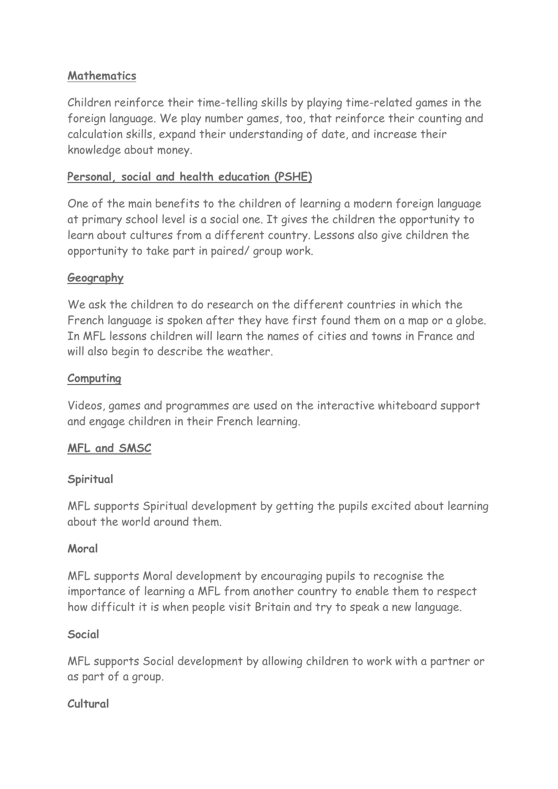### **Mathematics**

Children reinforce their time-telling skills by playing time-related games in the foreign language. We play number games, too, that reinforce their counting and calculation skills, expand their understanding of date, and increase their knowledge about money.

## **Personal, social and health education (PSHE)**

One of the main benefits to the children of learning a modern foreign language at primary school level is a social one. It gives the children the opportunity to learn about cultures from a different country. Lessons also give children the opportunity to take part in paired/ group work.

### **Geography**

We ask the children to do research on the different countries in which the French language is spoken after they have first found them on a map or a globe. In MFL lessons children will learn the names of cities and towns in France and will also begin to describe the weather.

### **Computing**

Videos, games and programmes are used on the interactive whiteboard support and engage children in their French learning.

### **MFL and SMSC**

### **Spiritual**

MFL supports Spiritual development by getting the pupils excited about learning about the world around them.

### **Moral**

MFL supports Moral development by encouraging pupils to recognise the importance of learning a MFL from another country to enable them to respect how difficult it is when people visit Britain and try to speak a new language.

### **Social**

MFL supports Social development by allowing children to work with a partner or as part of a group.

### **Cultural**